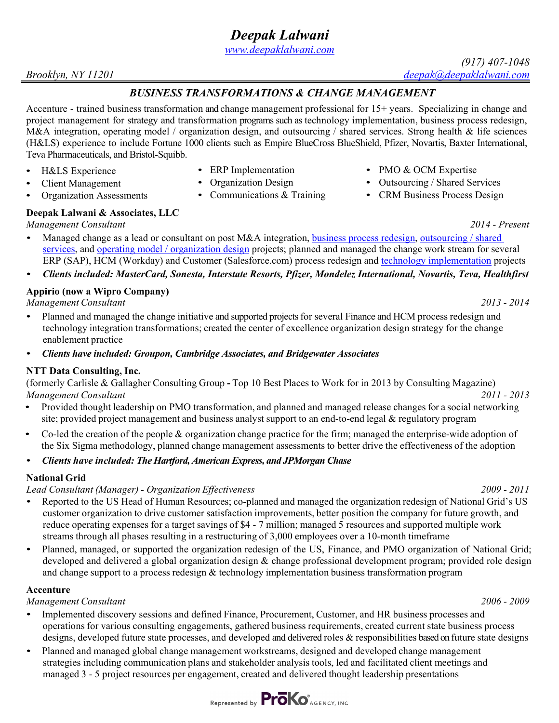# *Deepak Lalwani*

*[www.deepaklalwani.com](http://www.deepaklalwani.com/)*

*(917) 407-1048 Brooklyn, NY 11201 [deepak@deepaklalwani.com](mailto:deepak@deepaklalwani.com)*

# *BUSINESS TRANSFORMATIONS & CHANGE MANAGEMENT*

Accenture - trained business transformation and change management professional for 15+ years. Specializing in change and project management for strategy and transformation programs such as technology implementation, business process redesign, M&A integration, operating model / organization design, and outsourcing / shared services. Strong health & life sciences (H&LS) experience to include Fortune 1000 clients such as Empire BlueCross BlueShield, Pfizer, Novartis, Baxter International, Teva Pharmaceuticals, and Bristol-Squibb.

- 
- H&LS Experience ERP Implementation PMO & OCM Expertise<br>• Client Management Organization Design Outsourcing / Shared Ser
- Client Management Organization Design Outsourcing / Shared Services<br>• Organization Assessments Communications & Training CRM Business Process Design
- Organization Assessments Communications & Training

# **Deepak Lalwani & Associates, LLC**

*Management Consultant 2014 - Present*

- Managed change as a lead or consultant on post M&A integration, [business process redesign,](http://www.deepaklalwani.com/change-to-support-business-process/) outsourcing / shared [services,](http://www.deepaklalwani.com/change-to-support-shared-services/) and [operating model / organization design](http://www.deepaklalwani.com/organization-design-and-change/) projects; planned and managed the change work stream for several ERP (SAP), HCM (Workday) and Customer (Salesforce.com) process redesign and [technology implementation](http://www.deepaklalwani.com/change-to-support-enterprise-technology/) projects
- *Clients included: MasterCard, Sonesta, Interstate Resorts, Pfizer, Mondelez International, Novartis, Teva, Healthfirst*

# **Appirio (now a Wipro Company)**

*Management Consultant 2013 - 2014*

- Planned and managed the change initiative and supported projects for several Finance and HCM process redesign and technology integration transformations; created the center of excellence organization design strategy for the change enablement practice
- *Clients have included: Groupon, Cambridge Associates, and Bridgewater Associates*

## **NTT Data Consulting, Inc.**

(formerly Carlisle & Gallagher Consulting Group **-** Top 10 Best Places to Work for in 2013 by Consulting Magazine) *Management Consultant 2011 - 2013*

- Provided thought leadership on PMO transformation, and planned and managed release changes for a social networking site; provided project management and business analyst support to an end-to-end legal  $\&$  regulatory program
- Co-led the creation of the people & organization change practice for the firm; managed the enterprise-wide adoption of the Six Sigma methodology, planned change management assessments to better drive the effectiveness of the adoption

## • *Clients have included: The Hartford, American Express, and JPMorgan Chase*

## **National Grid**

*Lead Consultant (Manager) - Organization Effectiveness 2009 - 2011*

- Reported to the US Head of Human Resources; co-planned and managed the organization redesign of National Grid's US customer organization to drive customer satisfaction improvements, better position the company for future growth, and reduce operating expenses for a target savings of \$4 - 7 million; managed 5 resources and supported multiple work streams through all phases resulting in a restructuring of 3,000 employees over a 10-month timeframe
- Planned, managed, or supported the organization redesign of the US, Finance, and PMO organization of National Grid; developed and delivered a global organization design & change professional development program; provided role design and change support to a process redesign & technology implementation business transformation program

## **Accenture**

*Management Consultant 2006 - 2009*

- Implemented discovery sessions and defined Finance, Procurement, Customer, and HR business processes and operations for various consulting engagements, gathered business requirements, created current state business process designs, developed future state processes, and developed and delivered roles & responsibilities based on future state designs
- Planned and managed global change management workstreams, designed and developed change management strategies including communication plans and stakeholder analysis tools, led and facilitated client meetings and managed 3 - 5 project resources per engagement, created and delivered thought leadership presentations